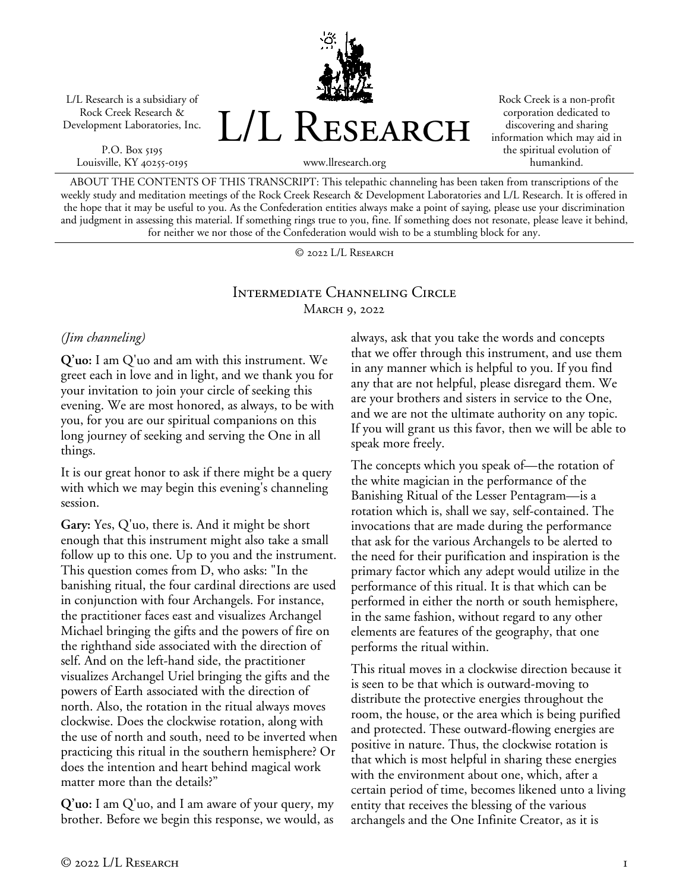L/L Research is a subsidiary of Rock Creek Research & Development Laboratories, Inc.

P.O. Box 5195 Louisville, KY 40255-0195 L/L RESEARCH

Rock Creek is a non-profit corporation dedicated to discovering and sharing information which may aid in the spiritual evolution of humankind.

www.llresearch.org

ABOUT THE CONTENTS OF THIS TRANSCRIPT: This telepathic channeling has been taken from transcriptions of the weekly study and meditation meetings of the Rock Creek Research & Development Laboratories and L/L Research. It is offered in the hope that it may be useful to you. As the Confederation entities always make a point of saying, please use your discrimination and judgment in assessing this material. If something rings true to you, fine. If something does not resonate, please leave it behind, for neither we nor those of the Confederation would wish to be a stumbling block for any.

© 2022 L/L Research

#### Intermediate Channeling Circle MARCH 9, 2022

## *(Jim channeling)*

**Q'uo:** I am Q'uo and am with this instrument. We greet each in love and in light, and we thank you for your invitation to join your circle of seeking this evening. We are most honored, as always, to be with you, for you are our spiritual companions on this long journey of seeking and serving the One in all things.

It is our great honor to ask if there might be a query with which we may begin this evening's channeling session.

**Gary:** Yes, Q'uo, there is. And it might be short enough that this instrument might also take a small follow up to this one. Up to you and the instrument. This question comes from D, who asks: "In the banishing ritual, the four cardinal directions are used in conjunction with four Archangels. For instance, the practitioner faces east and visualizes Archangel Michael bringing the gifts and the powers of fire on the righthand side associated with the direction of self. And on the left-hand side, the practitioner visualizes Archangel Uriel bringing the gifts and the powers of Earth associated with the direction of north. Also, the rotation in the ritual always moves clockwise. Does the clockwise rotation, along with the use of north and south, need to be inverted when practicing this ritual in the southern hemisphere? Or does the intention and heart behind magical work matter more than the details?"

**Q'uo:** I am Q'uo, and I am aware of your query, my brother. Before we begin this response, we would, as always, ask that you take the words and concepts that we offer through this instrument, and use them in any manner which is helpful to you. If you find any that are not helpful, please disregard them. We are your brothers and sisters in service to the One, and we are not the ultimate authority on any topic. If you will grant us this favor, then we will be able to speak more freely.

The concepts which you speak of—the rotation of the white magician in the performance of the Banishing Ritual of the Lesser Pentagram—is a rotation which is, shall we say, self-contained. The invocations that are made during the performance that ask for the various Archangels to be alerted to the need for their purification and inspiration is the primary factor which any adept would utilize in the performance of this ritual. It is that which can be performed in either the north or south hemisphere, in the same fashion, without regard to any other elements are features of the geography, that one performs the ritual within.

This ritual moves in a clockwise direction because it is seen to be that which is outward-moving to distribute the protective energies throughout the room, the house, or the area which is being purified and protected. These outward-flowing energies are positive in nature. Thus, the clockwise rotation is that which is most helpful in sharing these energies with the environment about one, which, after a certain period of time, becomes likened unto a living entity that receives the blessing of the various archangels and the One Infinite Creator, as it is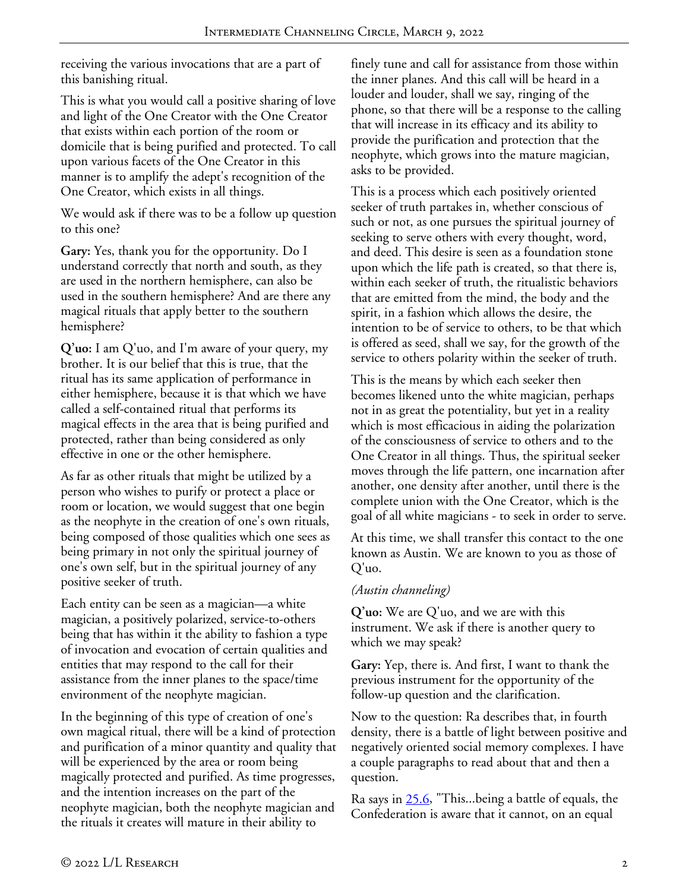receiving the various invocations that are a part of this banishing ritual.

This is what you would call a positive sharing of love and light of the One Creator with the One Creator that exists within each portion of the room or domicile that is being purified and protected. To call upon various facets of the One Creator in this manner is to amplify the adept's recognition of the One Creator, which exists in all things.

We would ask if there was to be a follow up question to this one?

**Gary:** Yes, thank you for the opportunity. Do I understand correctly that north and south, as they are used in the northern hemisphere, can also be used in the southern hemisphere? And are there any magical rituals that apply better to the southern hemisphere?

**Q'uo:** I am Q'uo, and I'm aware of your query, my brother. It is our belief that this is true, that the ritual has its same application of performance in either hemisphere, because it is that which we have called a self-contained ritual that performs its magical effects in the area that is being purified and protected, rather than being considered as only effective in one or the other hemisphere.

As far as other rituals that might be utilized by a person who wishes to purify or protect a place or room or location, we would suggest that one begin as the neophyte in the creation of one's own rituals, being composed of those qualities which one sees as being primary in not only the spiritual journey of one's own self, but in the spiritual journey of any positive seeker of truth.

Each entity can be seen as a magician—a white magician, a positively polarized, service-to-others being that has within it the ability to fashion a type of invocation and evocation of certain qualities and entities that may respond to the call for their assistance from the inner planes to the space/time environment of the neophyte magician.

In the beginning of this type of creation of one's own magical ritual, there will be a kind of protection and purification of a minor quantity and quality that will be experienced by the area or room being magically protected and purified. As time progresses, and the intention increases on the part of the neophyte magician, both the neophyte magician and the rituals it creates will mature in their ability to

finely tune and call for assistance from those within the inner planes. And this call will be heard in a louder and louder, shall we say, ringing of the phone, so that there will be a response to the calling that will increase in its efficacy and its ability to provide the purification and protection that the neophyte, which grows into the mature magician, asks to be provided.

This is a process which each positively oriented seeker of truth partakes in, whether conscious of such or not, as one pursues the spiritual journey of seeking to serve others with every thought, word, and deed. This desire is seen as a foundation stone upon which the life path is created, so that there is, within each seeker of truth, the ritualistic behaviors that are emitted from the mind, the body and the spirit, in a fashion which allows the desire, the intention to be of service to others, to be that which is offered as seed, shall we say, for the growth of the service to others polarity within the seeker of truth.

This is the means by which each seeker then becomes likened unto the white magician, perhaps not in as great the potentiality, but yet in a reality which is most efficacious in aiding the polarization of the consciousness of service to others and to the One Creator in all things. Thus, the spiritual seeker moves through the life pattern, one incarnation after another, one density after another, until there is the complete union with the One Creator, which is the goal of all white magicians - to seek in order to serve.

At this time, we shall transfer this contact to the one known as Austin. We are known to you as those of Q'uo.

## *(Austin channeling)*

**Q'uo:** We are Q'uo, and we are with this instrument. We ask if there is another query to which we may speak?

**Gary:** Yep, there is. And first, I want to thank the previous instrument for the opportunity of the follow-up question and the clarification.

Now to the question: Ra describes that, in fourth density, there is a battle of light between positive and negatively oriented social memory complexes. I have a couple paragraphs to read about that and then a question.

Ra says in [25.6,](https://www.llresearch.org/channeling/ra-contact/25#6) "This...being a battle of equals, the Confederation is aware that it cannot, on an equal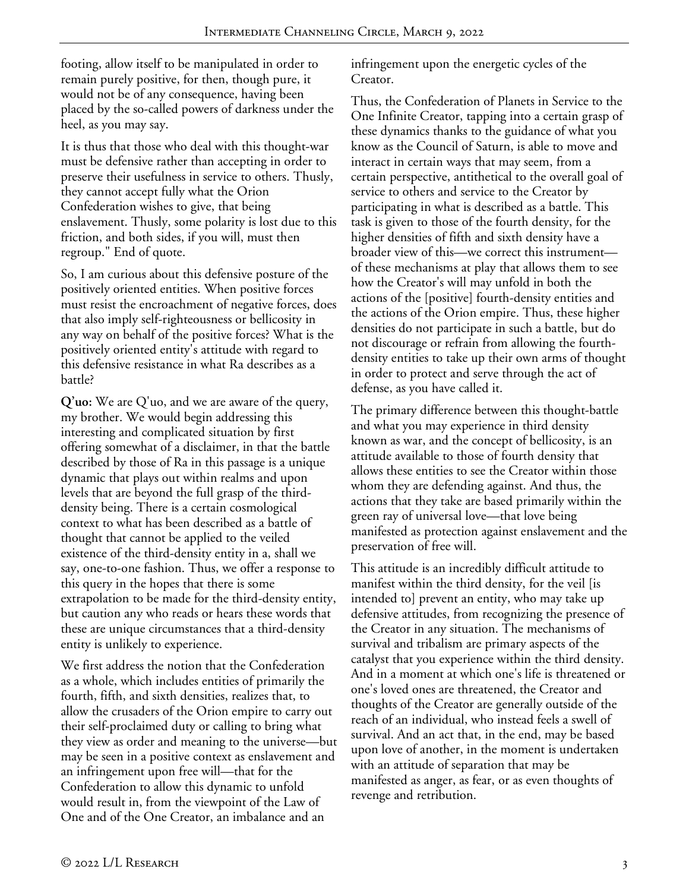footing, allow itself to be manipulated in order to remain purely positive, for then, though pure, it would not be of any consequence, having been placed by the so-called powers of darkness under the heel, as you may say.

It is thus that those who deal with this thought-war must be defensive rather than accepting in order to preserve their usefulness in service to others. Thusly, they cannot accept fully what the Orion Confederation wishes to give, that being enslavement. Thusly, some polarity is lost due to this friction, and both sides, if you will, must then regroup." End of quote.

So, I am curious about this defensive posture of the positively oriented entities. When positive forces must resist the encroachment of negative forces, does that also imply self-righteousness or bellicosity in any way on behalf of the positive forces? What is the positively oriented entity's attitude with regard to this defensive resistance in what Ra describes as a battle?

**Q'uo:** We are Q'uo, and we are aware of the query, my brother. We would begin addressing this interesting and complicated situation by first offering somewhat of a disclaimer, in that the battle described by those of Ra in this passage is a unique dynamic that plays out within realms and upon levels that are beyond the full grasp of the thirddensity being. There is a certain cosmological context to what has been described as a battle of thought that cannot be applied to the veiled existence of the third-density entity in a, shall we say, one-to-one fashion. Thus, we offer a response to this query in the hopes that there is some extrapolation to be made for the third-density entity, but caution any who reads or hears these words that these are unique circumstances that a third-density entity is unlikely to experience.

We first address the notion that the Confederation as a whole, which includes entities of primarily the fourth, fifth, and sixth densities, realizes that, to allow the crusaders of the Orion empire to carry out their self-proclaimed duty or calling to bring what they view as order and meaning to the universe—but may be seen in a positive context as enslavement and an infringement upon free will—that for the Confederation to allow this dynamic to unfold would result in, from the viewpoint of the Law of One and of the One Creator, an imbalance and an

infringement upon the energetic cycles of the Creator.

Thus, the Confederation of Planets in Service to the One Infinite Creator, tapping into a certain grasp of these dynamics thanks to the guidance of what you know as the Council of Saturn, is able to move and interact in certain ways that may seem, from a certain perspective, antithetical to the overall goal of service to others and service to the Creator by participating in what is described as a battle. This task is given to those of the fourth density, for the higher densities of fifth and sixth density have a broader view of this—we correct this instrument of these mechanisms at play that allows them to see how the Creator's will may unfold in both the actions of the [positive] fourth-density entities and the actions of the Orion empire. Thus, these higher densities do not participate in such a battle, but do not discourage or refrain from allowing the fourthdensity entities to take up their own arms of thought in order to protect and serve through the act of defense, as you have called it.

The primary difference between this thought-battle and what you may experience in third density known as war, and the concept of bellicosity, is an attitude available to those of fourth density that allows these entities to see the Creator within those whom they are defending against. And thus, the actions that they take are based primarily within the green ray of universal love—that love being manifested as protection against enslavement and the preservation of free will.

This attitude is an incredibly difficult attitude to manifest within the third density, for the veil [is intended to] prevent an entity, who may take up defensive attitudes, from recognizing the presence of the Creator in any situation. The mechanisms of survival and tribalism are primary aspects of the catalyst that you experience within the third density. And in a moment at which one's life is threatened or one's loved ones are threatened, the Creator and thoughts of the Creator are generally outside of the reach of an individual, who instead feels a swell of survival. And an act that, in the end, may be based upon love of another, in the moment is undertaken with an attitude of separation that may be manifested as anger, as fear, or as even thoughts of revenge and retribution.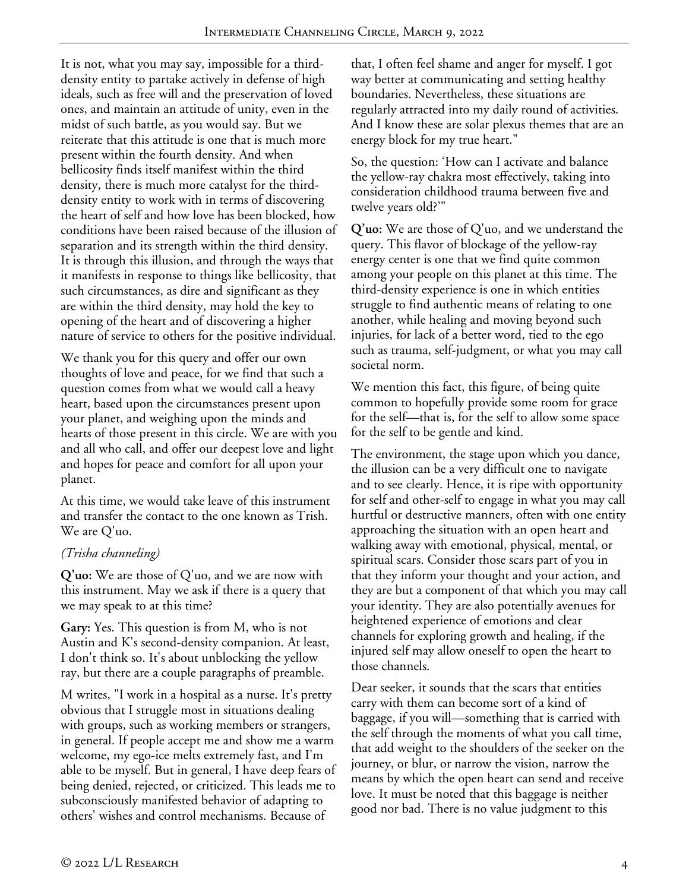It is not, what you may say, impossible for a thirddensity entity to partake actively in defense of high ideals, such as free will and the preservation of loved ones, and maintain an attitude of unity, even in the midst of such battle, as you would say. But we reiterate that this attitude is one that is much more present within the fourth density. And when bellicosity finds itself manifest within the third density, there is much more catalyst for the thirddensity entity to work with in terms of discovering the heart of self and how love has been blocked, how conditions have been raised because of the illusion of separation and its strength within the third density. It is through this illusion, and through the ways that it manifests in response to things like bellicosity, that such circumstances, as dire and significant as they are within the third density, may hold the key to opening of the heart and of discovering a higher nature of service to others for the positive individual.

We thank you for this query and offer our own thoughts of love and peace, for we find that such a question comes from what we would call a heavy heart, based upon the circumstances present upon your planet, and weighing upon the minds and hearts of those present in this circle. We are with you and all who call, and offer our deepest love and light and hopes for peace and comfort for all upon your planet.

At this time, we would take leave of this instrument and transfer the contact to the one known as Trish. We are Q'uo.

## *(Trisha channeling)*

**Q'uo:** We are those of Q'uo, and we are now with this instrument. May we ask if there is a query that we may speak to at this time?

**Gary:** Yes. This question is from M, who is not Austin and K's second-density companion. At least, I don't think so. It's about unblocking the yellow ray, but there are a couple paragraphs of preamble.

M writes, "I work in a hospital as a nurse. It's pretty obvious that I struggle most in situations dealing with groups, such as working members or strangers, in general. If people accept me and show me a warm welcome, my ego-ice melts extremely fast, and I'm able to be myself. But in general, I have deep fears of being denied, rejected, or criticized. This leads me to subconsciously manifested behavior of adapting to others' wishes and control mechanisms. Because of

that, I often feel shame and anger for myself. I got way better at communicating and setting healthy boundaries. Nevertheless, these situations are regularly attracted into my daily round of activities. And I know these are solar plexus themes that are an energy block for my true heart."

So, the question: 'How can I activate and balance the yellow-ray chakra most effectively, taking into consideration childhood trauma between five and twelve years old?'"

**Q'uo:** We are those of Q'uo, and we understand the query. This flavor of blockage of the yellow-ray energy center is one that we find quite common among your people on this planet at this time. The third-density experience is one in which entities struggle to find authentic means of relating to one another, while healing and moving beyond such injuries, for lack of a better word, tied to the ego such as trauma, self-judgment, or what you may call societal norm.

We mention this fact, this figure, of being quite common to hopefully provide some room for grace for the self—that is, for the self to allow some space for the self to be gentle and kind.

The environment, the stage upon which you dance, the illusion can be a very difficult one to navigate and to see clearly. Hence, it is ripe with opportunity for self and other-self to engage in what you may call hurtful or destructive manners, often with one entity approaching the situation with an open heart and walking away with emotional, physical, mental, or spiritual scars. Consider those scars part of you in that they inform your thought and your action, and they are but a component of that which you may call your identity. They are also potentially avenues for heightened experience of emotions and clear channels for exploring growth and healing, if the injured self may allow oneself to open the heart to those channels.

Dear seeker, it sounds that the scars that entities carry with them can become sort of a kind of baggage, if you will—something that is carried with the self through the moments of what you call time, that add weight to the shoulders of the seeker on the journey, or blur, or narrow the vision, narrow the means by which the open heart can send and receive love. It must be noted that this baggage is neither good nor bad. There is no value judgment to this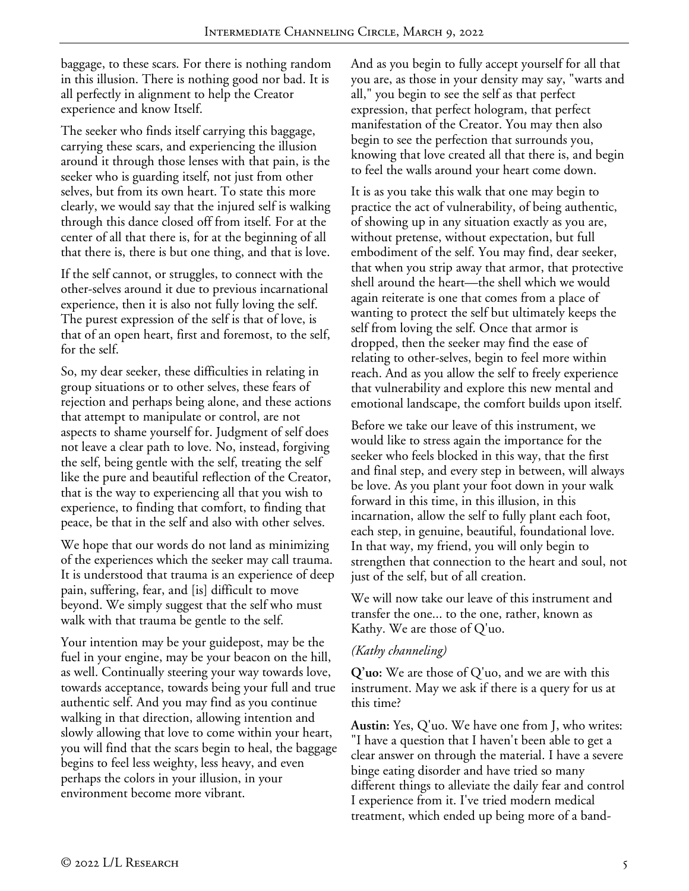baggage, to these scars. For there is nothing random in this illusion. There is nothing good nor bad. It is all perfectly in alignment to help the Creator experience and know Itself.

The seeker who finds itself carrying this baggage, carrying these scars, and experiencing the illusion around it through those lenses with that pain, is the seeker who is guarding itself, not just from other selves, but from its own heart. To state this more clearly, we would say that the injured self is walking through this dance closed off from itself. For at the center of all that there is, for at the beginning of all that there is, there is but one thing, and that is love.

If the self cannot, or struggles, to connect with the other-selves around it due to previous incarnational experience, then it is also not fully loving the self. The purest expression of the self is that of love, is that of an open heart, first and foremost, to the self, for the self.

So, my dear seeker, these difficulties in relating in group situations or to other selves, these fears of rejection and perhaps being alone, and these actions that attempt to manipulate or control, are not aspects to shame yourself for. Judgment of self does not leave a clear path to love. No, instead, forgiving the self, being gentle with the self, treating the self like the pure and beautiful reflection of the Creator, that is the way to experiencing all that you wish to experience, to finding that comfort, to finding that peace, be that in the self and also with other selves.

We hope that our words do not land as minimizing of the experiences which the seeker may call trauma. It is understood that trauma is an experience of deep pain, suffering, fear, and [is] difficult to move beyond. We simply suggest that the self who must walk with that trauma be gentle to the self.

Your intention may be your guidepost, may be the fuel in your engine, may be your beacon on the hill, as well. Continually steering your way towards love, towards acceptance, towards being your full and true authentic self. And you may find as you continue walking in that direction, allowing intention and slowly allowing that love to come within your heart, you will find that the scars begin to heal, the baggage begins to feel less weighty, less heavy, and even perhaps the colors in your illusion, in your environment become more vibrant.

And as you begin to fully accept yourself for all that you are, as those in your density may say, "warts and all," you begin to see the self as that perfect expression, that perfect hologram, that perfect manifestation of the Creator. You may then also begin to see the perfection that surrounds you, knowing that love created all that there is, and begin to feel the walls around your heart come down.

It is as you take this walk that one may begin to practice the act of vulnerability, of being authentic, of showing up in any situation exactly as you are, without pretense, without expectation, but full embodiment of the self. You may find, dear seeker, that when you strip away that armor, that protective shell around the heart—the shell which we would again reiterate is one that comes from a place of wanting to protect the self but ultimately keeps the self from loving the self. Once that armor is dropped, then the seeker may find the ease of relating to other-selves, begin to feel more within reach. And as you allow the self to freely experience that vulnerability and explore this new mental and emotional landscape, the comfort builds upon itself.

Before we take our leave of this instrument, we would like to stress again the importance for the seeker who feels blocked in this way, that the first and final step, and every step in between, will always be love. As you plant your foot down in your walk forward in this time, in this illusion, in this incarnation, allow the self to fully plant each foot, each step, in genuine, beautiful, foundational love. In that way, my friend, you will only begin to strengthen that connection to the heart and soul, not just of the self, but of all creation.

We will now take our leave of this instrument and transfer the one... to the one, rather, known as Kathy. We are those of Q'uo.

#### *(Kathy channeling)*

**Q'uo:** We are those of Q'uo, and we are with this instrument. May we ask if there is a query for us at this time?

**Austin:** Yes, Q'uo. We have one from J, who writes: "I have a question that I haven't been able to get a clear answer on through the material. I have a severe binge eating disorder and have tried so many different things to alleviate the daily fear and control I experience from it. I've tried modern medical treatment, which ended up being more of a band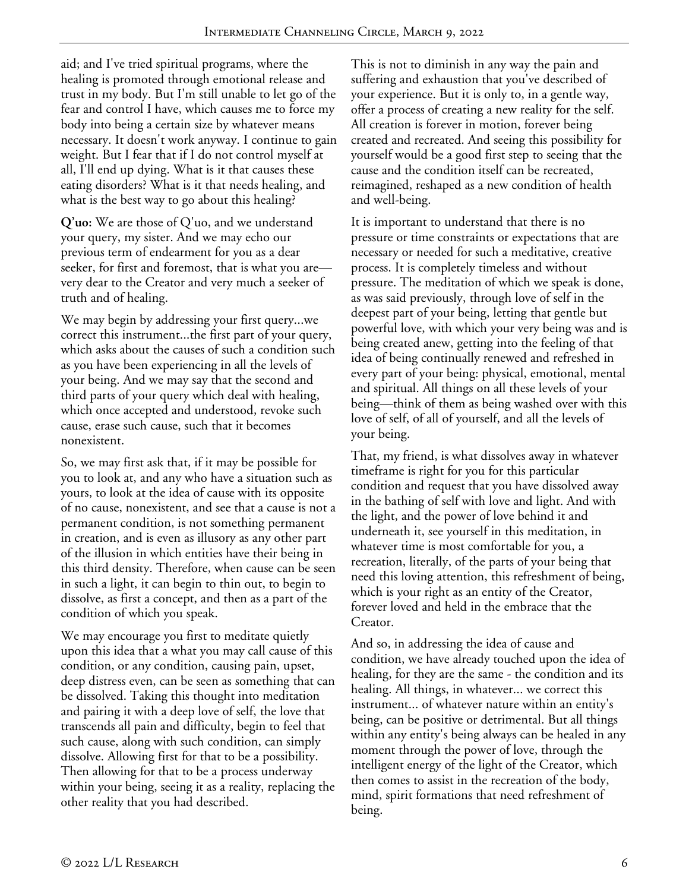aid; and I've tried spiritual programs, where the healing is promoted through emotional release and trust in my body. But I'm still unable to let go of the fear and control I have, which causes me to force my body into being a certain size by whatever means necessary. It doesn't work anyway. I continue to gain weight. But I fear that if I do not control myself at all, I'll end up dying. What is it that causes these eating disorders? What is it that needs healing, and what is the best way to go about this healing?

**Q'uo:** We are those of Q'uo, and we understand your query, my sister. And we may echo our previous term of endearment for you as a dear seeker, for first and foremost, that is what you are very dear to the Creator and very much a seeker of truth and of healing.

We may begin by addressing your first query...we correct this instrument...the first part of your query, which asks about the causes of such a condition such as you have been experiencing in all the levels of your being. And we may say that the second and third parts of your query which deal with healing, which once accepted and understood, revoke such cause, erase such cause, such that it becomes nonexistent.

So, we may first ask that, if it may be possible for you to look at, and any who have a situation such as yours, to look at the idea of cause with its opposite of no cause, nonexistent, and see that a cause is not a permanent condition, is not something permanent in creation, and is even as illusory as any other part of the illusion in which entities have their being in this third density. Therefore, when cause can be seen in such a light, it can begin to thin out, to begin to dissolve, as first a concept, and then as a part of the condition of which you speak.

We may encourage you first to meditate quietly upon this idea that a what you may call cause of this condition, or any condition, causing pain, upset, deep distress even, can be seen as something that can be dissolved. Taking this thought into meditation and pairing it with a deep love of self, the love that transcends all pain and difficulty, begin to feel that such cause, along with such condition, can simply dissolve. Allowing first for that to be a possibility. Then allowing for that to be a process underway within your being, seeing it as a reality, replacing the other reality that you had described.

This is not to diminish in any way the pain and suffering and exhaustion that you've described of your experience. But it is only to, in a gentle way, offer a process of creating a new reality for the self. All creation is forever in motion, forever being created and recreated. And seeing this possibility for yourself would be a good first step to seeing that the cause and the condition itself can be recreated, reimagined, reshaped as a new condition of health and well-being.

It is important to understand that there is no pressure or time constraints or expectations that are necessary or needed for such a meditative, creative process. It is completely timeless and without pressure. The meditation of which we speak is done, as was said previously, through love of self in the deepest part of your being, letting that gentle but powerful love, with which your very being was and is being created anew, getting into the feeling of that idea of being continually renewed and refreshed in every part of your being: physical, emotional, mental and spiritual. All things on all these levels of your being—think of them as being washed over with this love of self, of all of yourself, and all the levels of your being.

That, my friend, is what dissolves away in whatever timeframe is right for you for this particular condition and request that you have dissolved away in the bathing of self with love and light. And with the light, and the power of love behind it and underneath it, see yourself in this meditation, in whatever time is most comfortable for you, a recreation, literally, of the parts of your being that need this loving attention, this refreshment of being, which is your right as an entity of the Creator, forever loved and held in the embrace that the Creator.

And so, in addressing the idea of cause and condition, we have already touched upon the idea of healing, for they are the same - the condition and its healing. All things, in whatever... we correct this instrument... of whatever nature within an entity's being, can be positive or detrimental. But all things within any entity's being always can be healed in any moment through the power of love, through the intelligent energy of the light of the Creator, which then comes to assist in the recreation of the body, mind, spirit formations that need refreshment of being.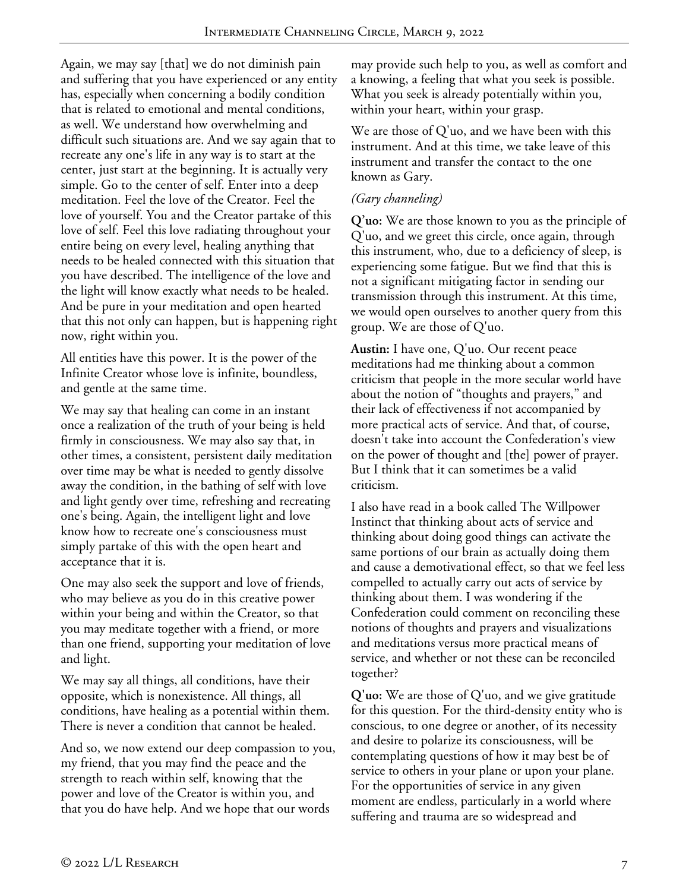Again, we may say [that] we do not diminish pain and suffering that you have experienced or any entity has, especially when concerning a bodily condition that is related to emotional and mental conditions, as well. We understand how overwhelming and difficult such situations are. And we say again that to recreate any one's life in any way is to start at the center, just start at the beginning. It is actually very simple. Go to the center of self. Enter into a deep meditation. Feel the love of the Creator. Feel the love of yourself. You and the Creator partake of this love of self. Feel this love radiating throughout your entire being on every level, healing anything that needs to be healed connected with this situation that you have described. The intelligence of the love and the light will know exactly what needs to be healed. And be pure in your meditation and open hearted that this not only can happen, but is happening right now, right within you.

All entities have this power. It is the power of the Infinite Creator whose love is infinite, boundless, and gentle at the same time.

We may say that healing can come in an instant once a realization of the truth of your being is held firmly in consciousness. We may also say that, in other times, a consistent, persistent daily meditation over time may be what is needed to gently dissolve away the condition, in the bathing of self with love and light gently over time, refreshing and recreating one's being. Again, the intelligent light and love know how to recreate one's consciousness must simply partake of this with the open heart and acceptance that it is.

One may also seek the support and love of friends, who may believe as you do in this creative power within your being and within the Creator, so that you may meditate together with a friend, or more than one friend, supporting your meditation of love and light.

We may say all things, all conditions, have their opposite, which is nonexistence. All things, all conditions, have healing as a potential within them. There is never a condition that cannot be healed.

And so, we now extend our deep compassion to you, my friend, that you may find the peace and the strength to reach within self, knowing that the power and love of the Creator is within you, and that you do have help. And we hope that our words

may provide such help to you, as well as comfort and a knowing, a feeling that what you seek is possible. What you seek is already potentially within you, within your heart, within your grasp.

We are those of Q'uo, and we have been with this instrument. And at this time, we take leave of this instrument and transfer the contact to the one known as Gary.

# *(Gary channeling)*

**Q'uo:** We are those known to you as the principle of Q'uo, and we greet this circle, once again, through this instrument, who, due to a deficiency of sleep, is experiencing some fatigue. But we find that this is not a significant mitigating factor in sending our transmission through this instrument. At this time, we would open ourselves to another query from this group. We are those of Q'uo.

**Austin:** I have one, Q'uo. Our recent peace meditations had me thinking about a common criticism that people in the more secular world have about the notion of "thoughts and prayers," and their lack of effectiveness if not accompanied by more practical acts of service. And that, of course, doesn't take into account the Confederation's view on the power of thought and [the] power of prayer. But I think that it can sometimes be a valid criticism.

I also have read in a book called The Willpower Instinct that thinking about acts of service and thinking about doing good things can activate the same portions of our brain as actually doing them and cause a demotivational effect, so that we feel less compelled to actually carry out acts of service by thinking about them. I was wondering if the Confederation could comment on reconciling these notions of thoughts and prayers and visualizations and meditations versus more practical means of service, and whether or not these can be reconciled together?

**Q'uo:** We are those of Q'uo, and we give gratitude for this question. For the third-density entity who is conscious, to one degree or another, of its necessity and desire to polarize its consciousness, will be contemplating questions of how it may best be of service to others in your plane or upon your plane. For the opportunities of service in any given moment are endless, particularly in a world where suffering and trauma are so widespread and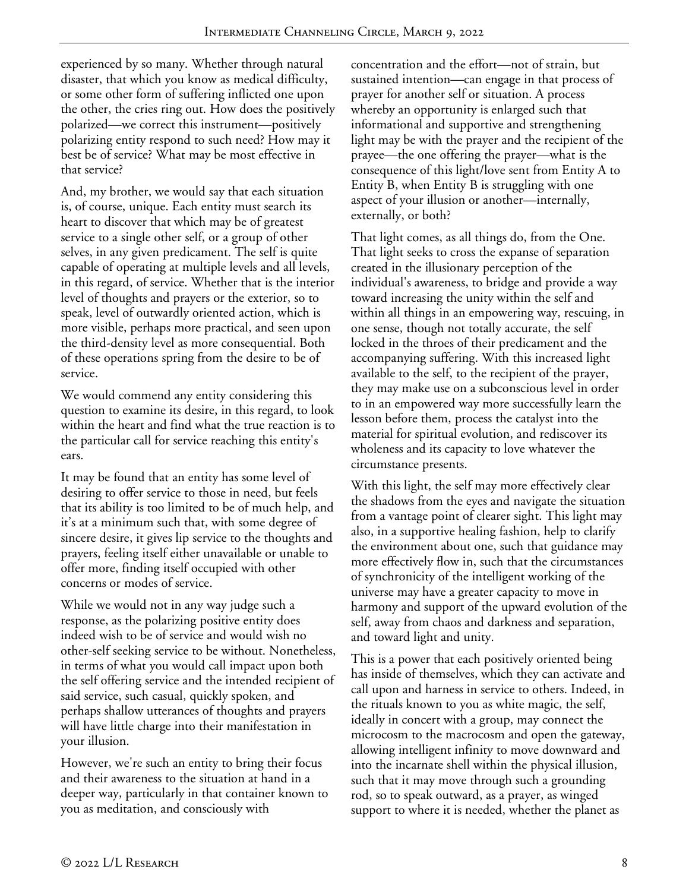experienced by so many. Whether through natural disaster, that which you know as medical difficulty, or some other form of suffering inflicted one upon the other, the cries ring out. How does the positively polarized—we correct this instrument—positively polarizing entity respond to such need? How may it best be of service? What may be most effective in that service?

And, my brother, we would say that each situation is, of course, unique. Each entity must search its heart to discover that which may be of greatest service to a single other self, or a group of other selves, in any given predicament. The self is quite capable of operating at multiple levels and all levels, in this regard, of service. Whether that is the interior level of thoughts and prayers or the exterior, so to speak, level of outwardly oriented action, which is more visible, perhaps more practical, and seen upon the third-density level as more consequential. Both of these operations spring from the desire to be of service.

We would commend any entity considering this question to examine its desire, in this regard, to look within the heart and find what the true reaction is to the particular call for service reaching this entity's ears.

It may be found that an entity has some level of desiring to offer service to those in need, but feels that its ability is too limited to be of much help, and it's at a minimum such that, with some degree of sincere desire, it gives lip service to the thoughts and prayers, feeling itself either unavailable or unable to offer more, finding itself occupied with other concerns or modes of service.

While we would not in any way judge such a response, as the polarizing positive entity does indeed wish to be of service and would wish no other-self seeking service to be without. Nonetheless, in terms of what you would call impact upon both the self offering service and the intended recipient of said service, such casual, quickly spoken, and perhaps shallow utterances of thoughts and prayers will have little charge into their manifestation in your illusion.

However, we're such an entity to bring their focus and their awareness to the situation at hand in a deeper way, particularly in that container known to you as meditation, and consciously with

concentration and the effort—not of strain, but sustained intention—can engage in that process of prayer for another self or situation. A process whereby an opportunity is enlarged such that informational and supportive and strengthening light may be with the prayer and the recipient of the prayee—the one offering the prayer—what is the consequence of this light/love sent from Entity A to Entity B, when Entity B is struggling with one aspect of your illusion or another—internally, externally, or both?

That light comes, as all things do, from the One. That light seeks to cross the expanse of separation created in the illusionary perception of the individual's awareness, to bridge and provide a way toward increasing the unity within the self and within all things in an empowering way, rescuing, in one sense, though not totally accurate, the self locked in the throes of their predicament and the accompanying suffering. With this increased light available to the self, to the recipient of the prayer, they may make use on a subconscious level in order to in an empowered way more successfully learn the lesson before them, process the catalyst into the material for spiritual evolution, and rediscover its wholeness and its capacity to love whatever the circumstance presents.

With this light, the self may more effectively clear the shadows from the eyes and navigate the situation from a vantage point of clearer sight. This light may also, in a supportive healing fashion, help to clarify the environment about one, such that guidance may more effectively flow in, such that the circumstances of synchronicity of the intelligent working of the universe may have a greater capacity to move in harmony and support of the upward evolution of the self, away from chaos and darkness and separation, and toward light and unity.

This is a power that each positively oriented being has inside of themselves, which they can activate and call upon and harness in service to others. Indeed, in the rituals known to you as white magic, the self, ideally in concert with a group, may connect the microcosm to the macrocosm and open the gateway, allowing intelligent infinity to move downward and into the incarnate shell within the physical illusion, such that it may move through such a grounding rod, so to speak outward, as a prayer, as winged support to where it is needed, whether the planet as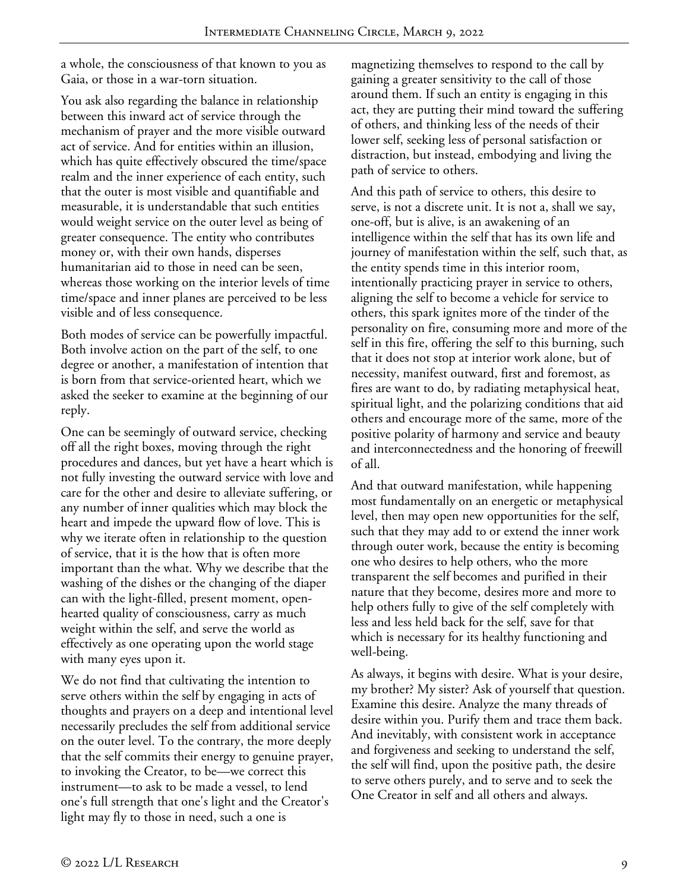a whole, the consciousness of that known to you as Gaia, or those in a war-torn situation.

You ask also regarding the balance in relationship between this inward act of service through the mechanism of prayer and the more visible outward act of service. And for entities within an illusion, which has quite effectively obscured the time/space realm and the inner experience of each entity, such that the outer is most visible and quantifiable and measurable, it is understandable that such entities would weight service on the outer level as being of greater consequence. The entity who contributes money or, with their own hands, disperses humanitarian aid to those in need can be seen, whereas those working on the interior levels of time time/space and inner planes are perceived to be less visible and of less consequence.

Both modes of service can be powerfully impactful. Both involve action on the part of the self, to one degree or another, a manifestation of intention that is born from that service-oriented heart, which we asked the seeker to examine at the beginning of our reply.

One can be seemingly of outward service, checking off all the right boxes, moving through the right procedures and dances, but yet have a heart which is not fully investing the outward service with love and care for the other and desire to alleviate suffering, or any number of inner qualities which may block the heart and impede the upward flow of love. This is why we iterate often in relationship to the question of service, that it is the how that is often more important than the what. Why we describe that the washing of the dishes or the changing of the diaper can with the light-filled, present moment, openhearted quality of consciousness, carry as much weight within the self, and serve the world as effectively as one operating upon the world stage with many eyes upon it.

We do not find that cultivating the intention to serve others within the self by engaging in acts of thoughts and prayers on a deep and intentional level necessarily precludes the self from additional service on the outer level. To the contrary, the more deeply that the self commits their energy to genuine prayer, to invoking the Creator, to be—we correct this instrument—to ask to be made a vessel, to lend one's full strength that one's light and the Creator's light may fly to those in need, such a one is

magnetizing themselves to respond to the call by gaining a greater sensitivity to the call of those around them. If such an entity is engaging in this act, they are putting their mind toward the suffering of others, and thinking less of the needs of their lower self, seeking less of personal satisfaction or distraction, but instead, embodying and living the path of service to others.

And this path of service to others, this desire to serve, is not a discrete unit. It is not a, shall we say, one-off, but is alive, is an awakening of an intelligence within the self that has its own life and journey of manifestation within the self, such that, as the entity spends time in this interior room, intentionally practicing prayer in service to others, aligning the self to become a vehicle for service to others, this spark ignites more of the tinder of the personality on fire, consuming more and more of the self in this fire, offering the self to this burning, such that it does not stop at interior work alone, but of necessity, manifest outward, first and foremost, as fires are want to do, by radiating metaphysical heat, spiritual light, and the polarizing conditions that aid others and encourage more of the same, more of the positive polarity of harmony and service and beauty and interconnectedness and the honoring of freewill of all.

And that outward manifestation, while happening most fundamentally on an energetic or metaphysical level, then may open new opportunities for the self, such that they may add to or extend the inner work through outer work, because the entity is becoming one who desires to help others, who the more transparent the self becomes and purified in their nature that they become, desires more and more to help others fully to give of the self completely with less and less held back for the self, save for that which is necessary for its healthy functioning and well-being.

As always, it begins with desire. What is your desire, my brother? My sister? Ask of yourself that question. Examine this desire. Analyze the many threads of desire within you. Purify them and trace them back. And inevitably, with consistent work in acceptance and forgiveness and seeking to understand the self, the self will find, upon the positive path, the desire to serve others purely, and to serve and to seek the One Creator in self and all others and always.